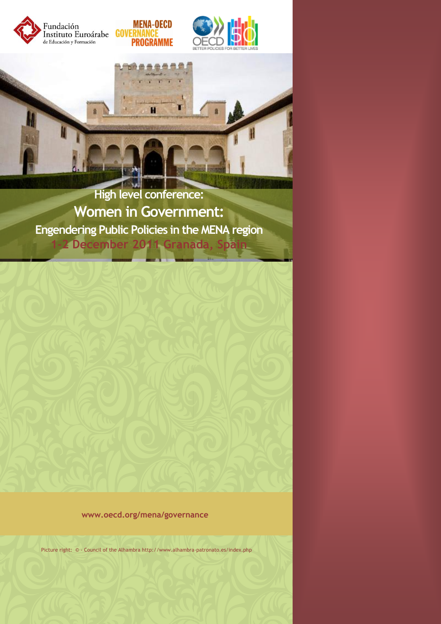

**High level conference: Women in Government: Engendering Public Policies in the MENA region 1-2 December 2011 Granada, Spain**

**www.oecd.org/mena/governance**

Picture right: © - Council of the Alhambra<http://www.alhambra-patronato.es/index.php>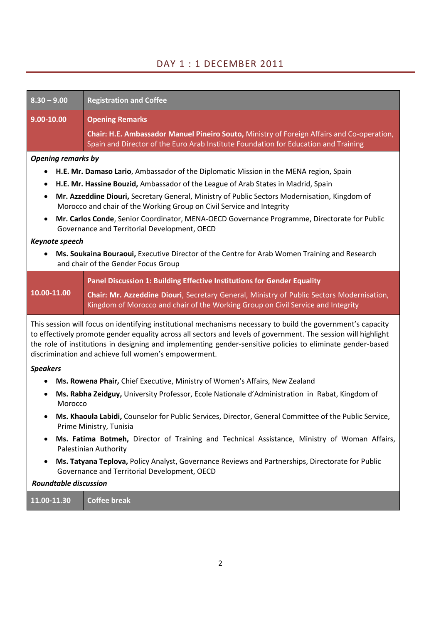# DAY 1 : 1 DECEMBER 2011

| $8.30 - 9.00$                                                                                                                                                                                                                                                                                                                                                                                        | <b>Registration and Coffee</b>                                                                                                                                                    |  |  |  |
|------------------------------------------------------------------------------------------------------------------------------------------------------------------------------------------------------------------------------------------------------------------------------------------------------------------------------------------------------------------------------------------------------|-----------------------------------------------------------------------------------------------------------------------------------------------------------------------------------|--|--|--|
| 9.00-10.00                                                                                                                                                                                                                                                                                                                                                                                           | <b>Opening Remarks</b>                                                                                                                                                            |  |  |  |
|                                                                                                                                                                                                                                                                                                                                                                                                      | Chair: H.E. Ambassador Manuel Pineiro Souto, Ministry of Foreign Affairs and Co-operation,<br>Spain and Director of the Euro Arab Institute Foundation for Education and Training |  |  |  |
| <b>Opening remarks by</b>                                                                                                                                                                                                                                                                                                                                                                            |                                                                                                                                                                                   |  |  |  |
|                                                                                                                                                                                                                                                                                                                                                                                                      | H.E. Mr. Damaso Lario, Ambassador of the Diplomatic Mission in the MENA region, Spain                                                                                             |  |  |  |
|                                                                                                                                                                                                                                                                                                                                                                                                      | H.E. Mr. Hassine Bouzid, Ambassador of the League of Arab States in Madrid, Spain                                                                                                 |  |  |  |
| Mr. Azzeddine Diouri, Secretary General, Ministry of Public Sectors Modernisation, Kingdom of<br>$\bullet$<br>Morocco and chair of the Working Group on Civil Service and Integrity                                                                                                                                                                                                                  |                                                                                                                                                                                   |  |  |  |
| $\bullet$                                                                                                                                                                                                                                                                                                                                                                                            | Mr. Carlos Conde, Senior Coordinator, MENA-OECD Governance Programme, Directorate for Public<br>Governance and Territorial Development, OECD                                      |  |  |  |
| Keynote speech                                                                                                                                                                                                                                                                                                                                                                                       |                                                                                                                                                                                   |  |  |  |
|                                                                                                                                                                                                                                                                                                                                                                                                      | Ms. Soukaina Bouraoui, Executive Director of the Centre for Arab Women Training and Research<br>and chair of the Gender Focus Group                                               |  |  |  |
|                                                                                                                                                                                                                                                                                                                                                                                                      | Panel Discussion 1: Building Effective Institutions for Gender Equality                                                                                                           |  |  |  |
| 10.00-11.00                                                                                                                                                                                                                                                                                                                                                                                          | Chair: Mr. Azzeddine Diouri, Secretary General, Ministry of Public Sectors Modernisation,<br>Kingdom of Morocco and chair of the Working Group on Civil Service and Integrity     |  |  |  |
| This session will focus on identifying institutional mechanisms necessary to build the government's capacity<br>to effectively promote gender equality across all sectors and levels of government. The session will highlight<br>the role of institutions in designing and implementing gender-sensitive policies to eliminate gender-based<br>discrimination and achieve full women's empowerment. |                                                                                                                                                                                   |  |  |  |
| <b>Speakers</b>                                                                                                                                                                                                                                                                                                                                                                                      |                                                                                                                                                                                   |  |  |  |
| Ms. Rowena Phair, Chief Executive, Ministry of Women's Affairs, New Zealand                                                                                                                                                                                                                                                                                                                          |                                                                                                                                                                                   |  |  |  |
| Ms. Rabha Zeidguy, University Professor, Ecole Nationale d'Administration in Rabat, Kingdom of<br>Morocco                                                                                                                                                                                                                                                                                            |                                                                                                                                                                                   |  |  |  |
| Ms. Khaoula Labidi, Counselor for Public Services, Director, General Committee of the Public Service,<br>Prime Ministry, Tunisia                                                                                                                                                                                                                                                                     |                                                                                                                                                                                   |  |  |  |
| Ms. Fatima Botmeh, Director of Training and Technical Assistance, Ministry of Woman Affairs,<br>Palestinian Authority                                                                                                                                                                                                                                                                                |                                                                                                                                                                                   |  |  |  |
| Ms. Tatyana Teplova, Policy Analyst, Governance Reviews and Partnerships, Directorate for Public<br>Governance and Territorial Development, OECD                                                                                                                                                                                                                                                     |                                                                                                                                                                                   |  |  |  |

# *Roundtable discussion*

**11.00-11.30 Coffee break**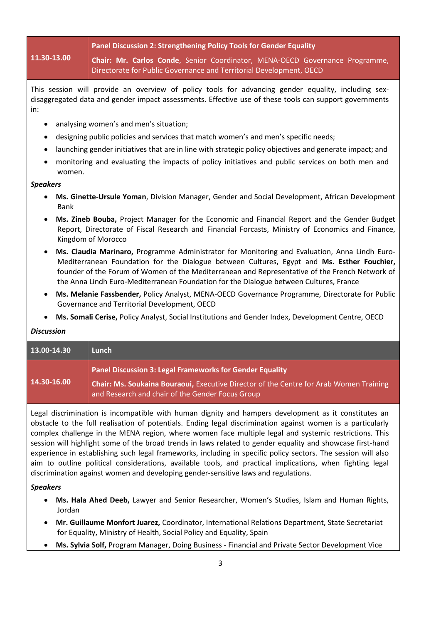# **11.30-13.00**

**Panel Discussion 2: Strengthening Policy Tools for Gender Equality**

**Chair: Mr. Carlos Conde**, Senior Coordinator, MENA-OECD Governance Programme, Directorate for Public Governance and Territorial Development, OECD

This session will provide an overview of policy tools for advancing gender equality, including sexdisaggregated data and gender impact assessments. Effective use of these tools can support governments in:

- analysing women's and men's situation;
- designing public policies and services that match women's and men's specific needs;
- launching gender initiatives that are in line with strategic policy objectives and generate impact; and
- monitoring and evaluating the impacts of policy initiatives and public services on both men and women.

#### *Speakers*

- **Ms. Ginette-Ursule Yoman**, Division Manager, Gender and Social Development, African Development Bank
- **Ms. Zineb Bouba,** Project Manager for the Economic and Financial Report and the Gender Budget Report, Directorate of Fiscal Research and Financial Forcasts, Ministry of Economics and Finance, Kingdom of Morocco
- **Ms. Claudia Marinaro,** Programme Administrator for Monitoring and Evaluation, Anna Lindh Euro-Mediterranean Foundation for the Dialogue between Cultures, Egypt and **Ms. Esther Fouchier,** founder of the Forum of Women of the Mediterranean and Representative of the French Network of the Anna Lindh Euro-Mediterranean Foundation for the Dialogue between Cultures, France
- **Ms. Melanie Fassbender,** Policy Analyst, MENA-OECD Governance Programme, Directorate for Public Governance and Territorial Development, OECD
- **Ms. Somali Cerise,** Policy Analyst, Social Institutions and Gender Index, Development Centre, OECD

## *Discussion*

| $13.00 - 14.30$ | Lunch                                                                                                                                      |
|-----------------|--------------------------------------------------------------------------------------------------------------------------------------------|
| 14.30-16.00     | Panel Discussion 3: Legal Frameworks for Gender Equality                                                                                   |
|                 | Chair: Ms. Soukaina Bouraoui, Executive Director of the Centre for Arab Women Training<br>and Research and chair of the Gender Focus Group |

Legal discrimination is incompatible with human dignity and hampers development as it constitutes an obstacle to the full realisation of potentials. Ending legal discrimination against women is a particularly complex challenge in the MENA region, where women face multiple legal and systemic restrictions. This session will highlight some of the broad trends in laws related to gender equality and showcase first-hand experience in establishing such legal frameworks, including in specific policy sectors. The session will also aim to outline political considerations, available tools, and practical implications, when fighting legal discrimination against women and developing gender-sensitive laws and regulations.

## *Speakers*

- **Ms. Hala Ahed Deeb,** Lawyer and Senior Researcher, Women's Studies, Islam and Human Rights, Jordan
- **Mr. Guillaume Monfort Juarez,** Coordinator, International Relations Department, State Secretariat for Equality, Ministry of Health, Social Policy and Equality, Spain
- **Ms. Sylvia Solf,** Program Manager, Doing Business Financial and Private Sector Development Vice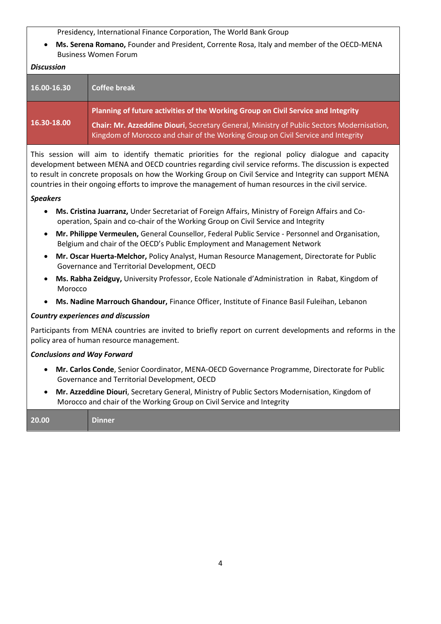Presidency, International Finance Corporation, The World Bank Group

 **Ms. Serena Romano,** Founder and President, Corrente Rosa, Italy and member of the OECD-MENA Business Women Forum

# *Discussion*

| 16.00-16.30 | <b>Coffee break</b>                                                                                                                                                                                                                                                |
|-------------|--------------------------------------------------------------------------------------------------------------------------------------------------------------------------------------------------------------------------------------------------------------------|
| 16.30-18.00 | Planning of future activities of the Working Group on Civil Service and Integrity<br>Chair: Mr. Azzeddine Diouri, Secretary General, Ministry of Public Sectors Modernisation,<br>Kingdom of Morocco and chair of the Working Group on Civil Service and Integrity |

This session will aim to identify thematic priorities for the regional policy dialogue and capacity development between MENA and OECD countries regarding civil service reforms. The discussion is expected to result in concrete proposals on how the Working Group on Civil Service and Integrity can support MENA countries in their ongoing efforts to improve the management of human resources in the civil service.

# *Speakers*

- **Ms. Cristina Juarranz,** Under Secretariat of Foreign Affairs, Ministry of Foreign Affairs and Cooperation, Spain and co-chair of the Working Group on Civil Service and Integrity
- **Mr. Philippe Vermeulen,** General Counsellor, Federal Public Service Personnel and Organisation, Belgium and chair of the OECD's Public Employment and Management Network
- **Mr. Oscar Huerta-Melchor,** Policy Analyst, Human Resource Management, Directorate for Public Governance and Territorial Development, OECD
- **Ms. Rabha Zeidguy,** University Professor, Ecole Nationale d'Administration in Rabat, Kingdom of Morocco
- **Ms. Nadine Marrouch Ghandour,** Finance Officer, Institute of Finance Basil Fuleihan, Lebanon

## *Country experiences and discussion*

Participants from MENA countries are invited to briefly report on current developments and reforms in the policy area of human resource management.

# *Conclusions and Way Forward*

- **Mr. Carlos Conde**, Senior Coordinator, MENA-OECD Governance Programme, Directorate for Public Governance and Territorial Development, OECD
- **Mr. Azzeddine Diouri**, Secretary General, Ministry of Public Sectors Modernisation, Kingdom of Morocco and chair of the Working Group on Civil Service and Integrity

| 20.00 | --<br>Dinner |  |  |  |
|-------|--------------|--|--|--|
|-------|--------------|--|--|--|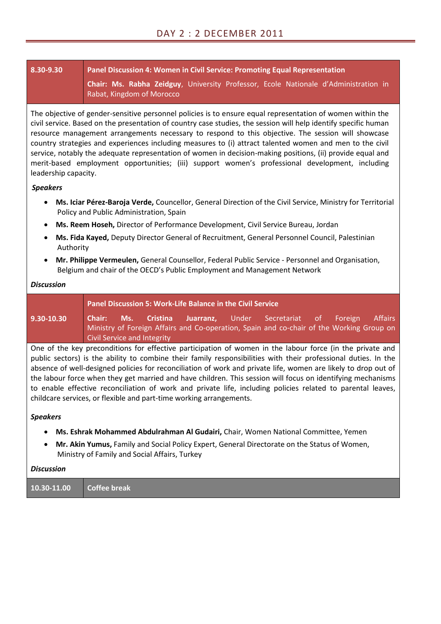# **8.30-9.30 Panel Discussion 4: Women in Civil Service: Promoting Equal Representation Chair: Ms. Rabha Zeidguy**, University Professor, Ecole Nationale d'Administration in Rabat, Kingdom of Morocco

The objective of gender-sensitive personnel policies is to ensure equal representation of women within the civil service. Based on the presentation of country case studies, the session will help identify specific human resource management arrangements necessary to respond to this objective. The session will showcase country strategies and experiences including measures to (i) attract talented women and men to the civil service, notably the adequate representation of women in decision-making positions, (ii) provide equal and merit-based employment opportunities; (iii) support women's professional development, including leadership capacity.

# *Speakers*

- **Ms. Iciar Pérez-Baroja Verde,** Councellor, General Direction of the Civil Service, Ministry for Territorial Policy and Public Administration, Spain
- **Ms. Reem Hoseh,** Director of Performance Development, Civil Service Bureau, Jordan
- **Ms. Fida Kayed,** Deputy Director General of Recruitment, General Personnel Council, Palestinian Authority
- **Mr. Philippe Vermeulen,** General Counsellor, Federal Public Service Personnel and Organisation, Belgium and chair of the OECD's Public Employment and Management Network

# *Discussion*

|                                                                                                              |                             |  | Panel Discussion 5: Work-Life Balance in the Civil Service |                                                                                                                                                               |  |         |
|--------------------------------------------------------------------------------------------------------------|-----------------------------|--|------------------------------------------------------------|---------------------------------------------------------------------------------------------------------------------------------------------------------------|--|---------|
| 9.30-10.30                                                                                                   |                             |  |                                                            | <b>Chair: Ms. Cristina Juarranz,</b> Under Secretariat of Foreign<br>Ministry of Foreign Affairs and Co-operation, Spain and co-chair of the Working Group on |  | Affairs |
|                                                                                                              | Civil Service and Integrity |  |                                                            |                                                                                                                                                               |  |         |
| One of the lieu nucleonalitions fou offective nonticipation of womens in the labour found line the mulgaread |                             |  |                                                            |                                                                                                                                                               |  |         |

One of the key preconditions for effective participation of women in the labour force (in the private and public sectors) is the ability to combine their family responsibilities with their professional duties. In the absence of well-designed policies for reconciliation of work and private life, women are likely to drop out of the labour force when they get married and have children. This session will focus on identifying mechanisms to enable effective reconciliation of work and private life, including policies related to parental leaves, childcare services, or flexible and part-time working arrangements.

# *Speakers*

- **Ms. Eshrak Mohammed Abdulrahman Al Gudairi,** Chair, Women National Committee, Yemen
- **Mr. Akin Yumus,** Family and Social Policy Expert, General Directorate on the Status of Women, Ministry of Family and Social Affairs, Turkey

## *Discussion*

| 10.30-11.00 | Coffee break |
|-------------|--------------|
|-------------|--------------|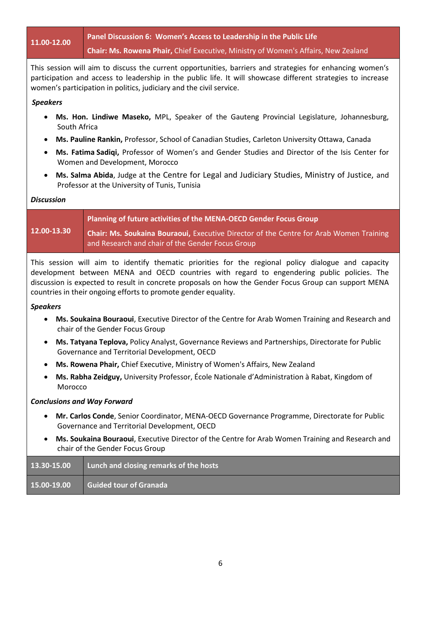**11.00-12.00 Panel Discussion 6: Women's Access to Leadership in the Public Life Chair: Ms. Rowena Phair,** Chief Executive, Ministry of Women's Affairs, New Zealand

This session will aim to discuss the current opportunities, barriers and strategies for enhancing women's participation and access to leadership in the public life. It will showcase different strategies to increase women's participation in politics, judiciary and the civil service.

## *Speakers*

- **Ms. Hon. Lindiwe Maseko,** MPL, Speaker of the Gauteng Provincial Legislature, Johannesburg, South Africa
- **Ms. Pauline Rankin,** Professor, School of Canadian Studies, Carleton University Ottawa, Canada
- **Ms. Fatima Sadiqi,** Professor of Women's and Gender Studies and Director of the Isis Center for Women and Development, Morocco
- **Ms. Salma Abida**, Judge at the Centre for Legal and Judiciary Studies, Ministry of Justice, and Professor at the University of Tunis, Tunisia

# *Discussion*

|             | Planning of future activities of the MENA-OECD Gender Focus Group                                                                          |
|-------------|--------------------------------------------------------------------------------------------------------------------------------------------|
| 12.00-13.30 | Chair: Ms. Soukaina Bouraoui, Executive Director of the Centre for Arab Women Training<br>and Research and chair of the Gender Focus Group |

This session will aim to identify thematic priorities for the regional policy dialogue and capacity development between MENA and OECD countries with regard to engendering public policies. The discussion is expected to result in concrete proposals on how the Gender Focus Group can support MENA countries in their ongoing efforts to promote gender equality.

## *Speakers*

- **Ms. Soukaina Bouraoui**, Executive Director of the Centre for Arab Women Training and Research and chair of the Gender Focus Group
- **Ms. Tatyana Teplova,** Policy Analyst, Governance Reviews and Partnerships, Directorate for Public Governance and Territorial Development, OECD
- **Ms. Rowena Phair,** Chief Executive, Ministry of Women's Affairs, New Zealand
- **Ms. Rabha Zeidguy,** University Professor, École Nationale d'Administration à Rabat, Kingdom of Morocco

## *Conclusions and Way Forward*

- **Mr. Carlos Conde**, Senior Coordinator, MENA-OECD Governance Programme, Directorate for Public Governance and Territorial Development, OECD
- **Ms. Soukaina Bouraoui**, Executive Director of the Centre for Arab Women Training and Research and chair of the Gender Focus Group

| 13.30-15.00 | Lunch and closing remarks of the hosts |
|-------------|----------------------------------------|
| 15.00-19.00 | <b>Guided tour of Granada</b>          |